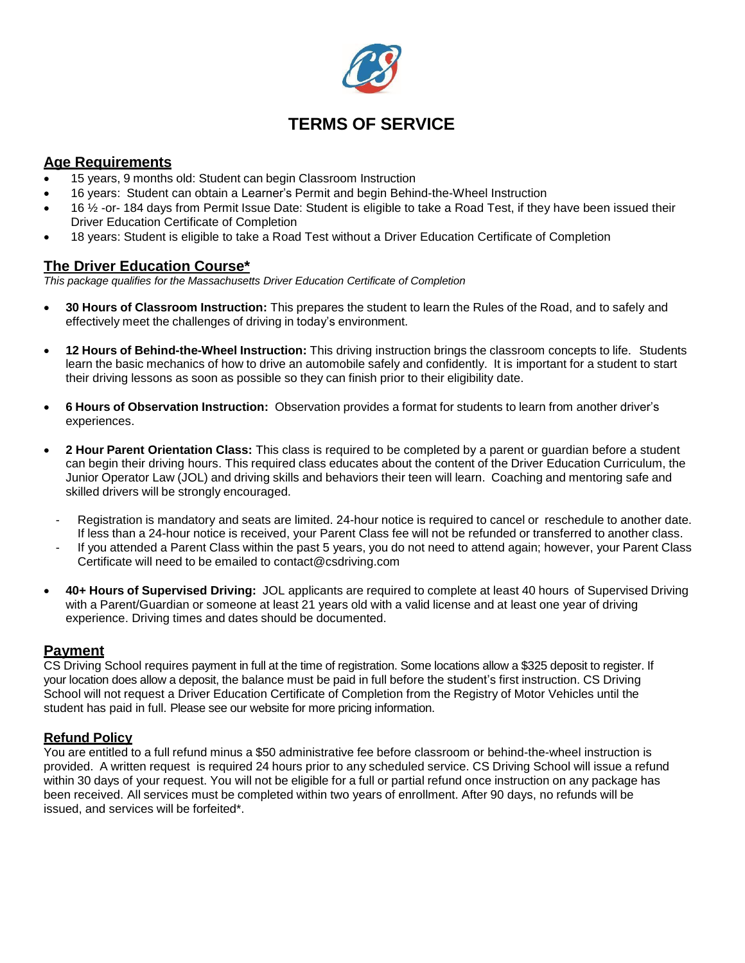

# **TERMS OF SERVICE**

# **Age Requirements**

- 15 years, 9 months old: Student can begin Classroom Instruction
- 16 years: Student can obtain a Learner's Permit and begin Behind-the-Wheel Instruction
- 16 ½ -or- 184 days from Permit Issue Date: Student is eligible to take a Road Test, if they have been issued their Driver Education Certificate of Completion
- 18 years: Student is eligible to take a Road Test without a Driver Education Certificate of Completion

# **The Driver Education Course\***

*This package qualifies for the Massachusetts Driver Education Certificate of Completion*

- **30 Hours of Classroom Instruction:** This prepares the student to learn the Rules of the Road, and to safely and effectively meet the challenges of driving in today's environment.
- **12 Hours of Behind-the-Wheel Instruction:** This driving instruction brings the classroom concepts to life. Students learn the basic mechanics of how to drive an automobile safely and confidently. It is important for a student to start their driving lessons as soon as possible so they can finish prior to their eligibility date.
- **6 Hours of Observation Instruction:** Observation provides a format for students to learn from another driver's experiences.
- **2 Hour Parent Orientation Class:** This class is required to be completed by a parent or guardian before a student can begin their driving hours. This required class educates about the content of the Driver Education Curriculum, the Junior Operator Law (JOL) and driving skills and behaviors their teen will learn. Coaching and mentoring safe and skilled drivers will be strongly encouraged.
	- Registration is mandatory and seats are limited. 24-hour notice is required to cancel or reschedule to another date. If less than a 24-hour notice is received, your Parent Class fee will not be refunded or transferred to another class.
	- If you attended a Parent Class within the past 5 years, you do not need to attend again; however, your Parent Class Certificate will need to be emailed to contact@csdriving.com
- **40+ Hours of Supervised Driving:** JOL applicants are required to complete at least 40 hours of Supervised Driving with a Parent/Guardian or someone at least 21 years old with a valid license and at least one year of driving experience. Driving times and dates should be documented.

# **Payment**

CS Driving School requires payment in full at the time of registration. Some locations allow a \$325 deposit to register. If your location does allow a deposit, the balance must be paid in full before the student's first instruction. CS Driving School will not request a Driver Education Certificate of Completion from the Registry of Motor Vehicles until the student has paid in full. Please see our website for more pricing information.

## **Refund Policy**

You are entitled to a full refund minus a \$50 administrative fee before classroom or behind-the-wheel instruction is provided. A written request is required 24 hours prior to any scheduled service. CS Driving School will issue a refund within 30 days of your request. You will not be eligible for a full or partial refund once instruction on any package has been received. All services must be completed within two years of enrollment. After 90 days, no refunds will be issued, and services will be forfeited\*.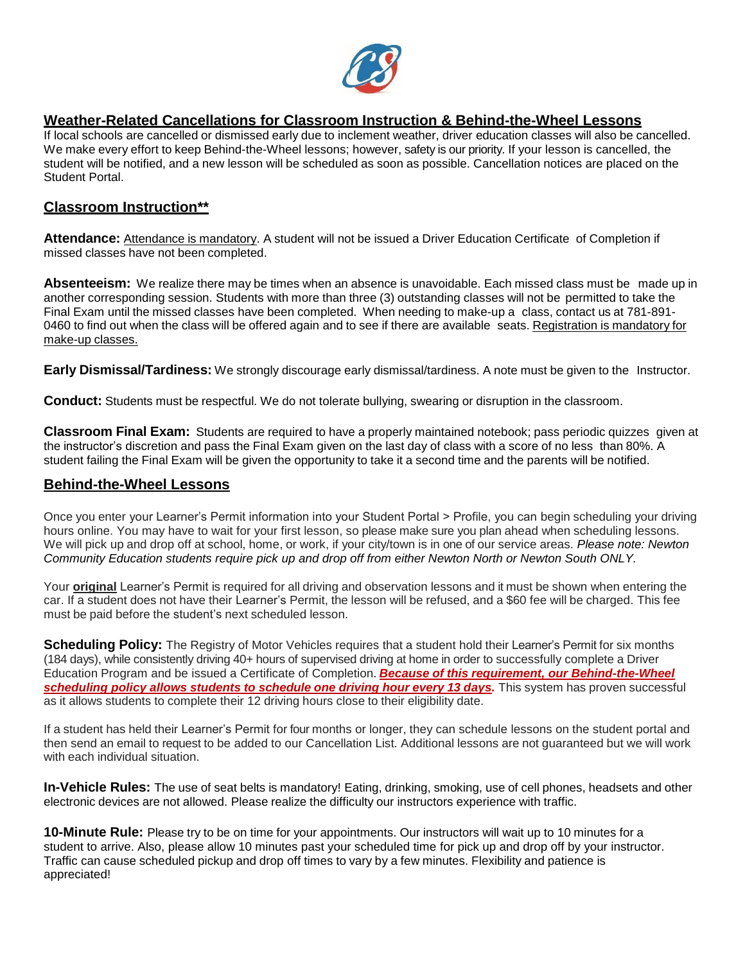

# **Weather-Related Cancellations for Classroom Instruction & Behind-the-Wheel Lessons**

If local schools are cancelled or dismissed early due to inclement weather, driver education classes will also be cancelled. We make every effort to keep Behind-the-Wheel lessons; however, safety is our priority. If your lesson is cancelled, the student will be notified, and a new lesson will be scheduled as soon as possible. Cancellation notices are placed on the Student Portal.

## **Classroom Instruction\*\***

**Attendance:** Attendance is mandatory. A student will not be issued a Driver Education Certificate of Completion if missed classes have not been completed.

**Absenteeism:** We realize there may be times when an absence is unavoidable. Each missed class must be made up in another corresponding session. Students with more than three (3) outstanding classes will not be permitted to take the Final Exam until the missed classes have been completed. When needing to make-up a class, contact us at 781-891- 0460 to find out when the class will be offered again and to see if there are available seats. Registration is mandatory for make-up classes.

**Early Dismissal/Tardiness:** We strongly discourage early dismissal/tardiness. A note must be given to the Instructor.

**Conduct:** Students must be respectful. We do not tolerate bullying, swearing or disruption in the classroom.

**Classroom Final Exam:** Students are required to have a properly maintained notebook; pass periodic quizzes given at the instructor's discretion and pass the Final Exam given on the last day of class with a score of no less than 80%. A student failing the Final Exam will be given the opportunity to take it a second time and the parents will be notified.

## **Behind-the-Wheel Lessons**

Once you enter your Learner's Permit information into your Student Portal > Profile, you can begin scheduling your driving hours online. You may have to wait for your first lesson, so please make sure you plan ahead when scheduling lessons. We will pick up and drop off at school, home, or work, if your city/town is in one of our service areas. *Please note: Newton Community Education students require pick up and drop off from either Newton North or Newton South ONLY.*

Your **original** Learner's Permit is required for all driving and observation lessons and it must be shown when entering the car. If a student does not have their Learner's Permit, the lesson will be refused, and a \$60 fee will be charged. This fee must be paid before the student's next scheduled lesson.

**Scheduling Policy:** The Registry of Motor Vehicles requires that a student hold their Learner's Permit for six months (184 days), while consistently driving 40+ hours of supervised driving at home in order to successfully complete a Driver Education Program and be issued a Certificate of Completion. *Because of this requirement, our Behind-the-Wheel scheduling policy allows students to schedule one driving hour every 13 days.* This system has proven successful as it allows students to complete their 12 driving hours close to their eligibility date.

If a student has held their Learner's Permit for four months or longer, they can schedule lessons on the student portal and then send an email to request to be added to our Cancellation List. Additional lessons are not guaranteed but we will work with each individual situation.

**In-Vehicle Rules:** The use of seat belts is mandatory! Eating, drinking, smoking, use of cell phones, headsets and other electronic devices are not allowed. Please realize the difficulty our instructors experience with traffic.

**10-Minute Rule:** Please try to be on time for your appointments. Our instructors will wait up to 10 minutes for a student to arrive. Also, please allow 10 minutes past your scheduled time for pick up and drop off by your instructor. Traffic can cause scheduled pickup and drop off times to vary by a few minutes. Flexibility and patience is appreciated!